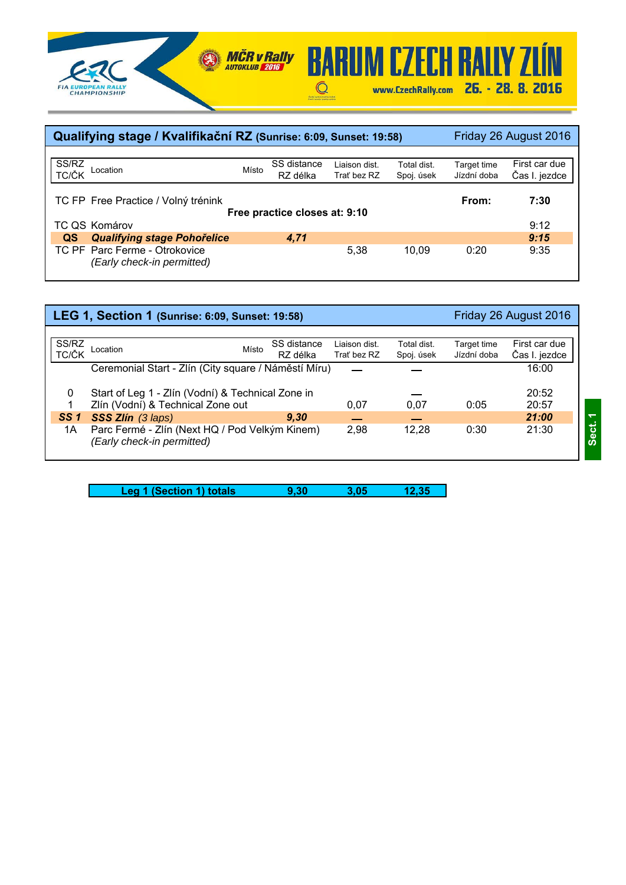



|                | Qualifying stage / Kvalifikační RZ (Sunrise: 6:09, Sunset: 19:58) |       |                               |               |             |             | Friday 26 August 2016 |
|----------------|-------------------------------------------------------------------|-------|-------------------------------|---------------|-------------|-------------|-----------------------|
|                |                                                                   |       |                               |               |             |             |                       |
| SS/RZ<br>TC/ČK | Location                                                          | Místo | SS distance                   | Liaison dist. | Total dist. | Target time | First car due         |
|                |                                                                   |       | RZ délka                      | Trat bez RZ   | Spoj. úsek  | Jízdní doba | Čas I. jezdce         |
|                |                                                                   |       |                               |               |             |             |                       |
|                | TC FP Free Practice / Volný trénink                               |       |                               |               |             | From:       | 7:30                  |
|                |                                                                   |       | Free practice closes at: 9:10 |               |             |             |                       |
|                | TC QS Komárov                                                     |       |                               |               |             |             | 9:12                  |
| QS             | <b>Qualifying stage Pohořelice</b>                                |       | 4.71                          |               |             |             | 9:15                  |
|                | TC PF Parc Ferme - Otrokovice                                     |       |                               | 5.38          | 10.09       | 0:20        | 9:35                  |
|                | (Early check-in permitted)                                        |       |                               |               |             |             |                       |
|                |                                                                   |       |                               |               |             |             |                       |

|                 | LEG 1, Section 1 (Sunrise: 6:09, Sunset: 19:58)                              |       |             |               |             |             | Friday 26 August 2016 |
|-----------------|------------------------------------------------------------------------------|-------|-------------|---------------|-------------|-------------|-----------------------|
|                 |                                                                              |       |             |               |             |             |                       |
| SS/RZ           | Location                                                                     | Místo | SS distance | Liaison dist. | Total dist. | Target time | First car due         |
| TC/ČK           |                                                                              |       | RZ délka    | Trat' bez RZ  | Spoj. úsek  | Jízdní doba | Čas I. jezdce         |
|                 | Ceremonial Start - Zlín (City square / Náměstí Míru)                         |       |             |               |             |             | 16:00                 |
| 0               | Start of Leg 1 - Zlín (Vodní) & Technical Zone in                            |       |             |               |             |             | 20:52                 |
|                 | Zlín (Vodní) & Technical Zone out                                            |       |             | 0.07          | 0,07        | 0:05        | 20:57                 |
| SS <sub>1</sub> | SSS Zlín (3 laps)                                                            |       | 9.30        |               |             |             | 21:00                 |
| 1A              | Parc Fermé - Zlín (Next HQ / Pod Velkým Kinem)<br>(Early check-in permitted) |       |             | 2.98          | 12,28       | 0:30        | 21:30                 |
|                 |                                                                              |       |             |               |             |             |                       |

| 9.30<br>12.35<br>Leg 1 (Section 1) totals<br>3.05 |
|---------------------------------------------------|
|---------------------------------------------------|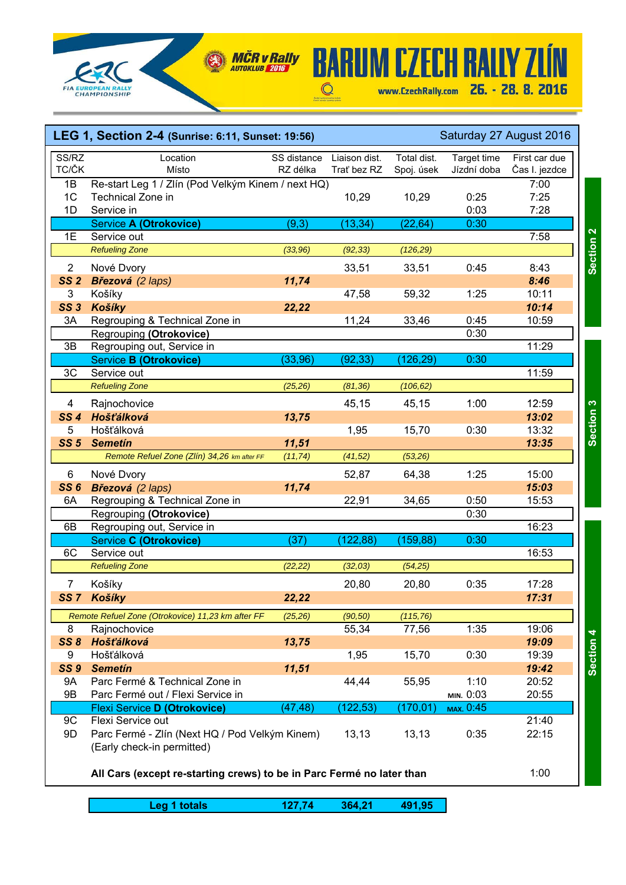

## **BARUM CZECH RALIY ZLÍN** www.CzechRally.com 26. - 28. 8. 2016  $\begin{array}{c}\n\bullet \\
\bullet \\
\bullet\n\end{array}$

|                 | LEG 1, Section 2-4 (Sunrise: 6:11, Sunset: 19:56)                     |             |               |             |             | Saturday 27 August 2016 |
|-----------------|-----------------------------------------------------------------------|-------------|---------------|-------------|-------------|-------------------------|
| SS/RZ<br>TC/ČK  | Location                                                              | SS distance | Liaison dist. | Total dist. | Target time | First car due           |
|                 | Místo                                                                 | RZ délka    | Trat' bez RZ  | Spoj. úsek  | Jízdní doba | Čas I. jezdce           |
| 1B              | Re-start Leg 1 / Zlín (Pod Velkým Kinem / next HQ)                    |             |               |             |             | 7:00                    |
| 1 <sub>C</sub>  | Technical Zone in                                                     |             | 10,29         | 10,29       | 0:25        | 7:25                    |
| 1D              | Service in                                                            |             |               |             | 0:03        | 7:28                    |
|                 | Service A (Otrokovice)                                                | (9, 3)      | (13, 34)      | (22, 64)    | 0:30        |                         |
| 1E              | Service out                                                           |             |               |             |             | 7:58                    |
|                 | <b>Refueling Zone</b>                                                 | (33,96)     | (92, 33)      | (126, 29)   |             |                         |
| $\overline{2}$  | Nové Dvory                                                            |             | 33,51         | 33,51       | 0:45        | 8:43                    |
| SS <sub>2</sub> | Březová (2 laps)                                                      | 11,74       |               |             |             | 8:46                    |
| 3               | Košíky                                                                |             | 47,58         | 59,32       | 1:25        | 10:11                   |
| <b>SS 3</b>     | Košíky                                                                | 22,22       |               |             |             | 10:14                   |
| 3A              | Regrouping & Technical Zone in                                        |             | 11,24         | 33,46       | 0:45        | 10:59                   |
|                 | Regrouping (Otrokovice)                                               |             |               |             | 0:30        |                         |
| 3B              | Regrouping out, Service in                                            |             |               |             |             | 11:29                   |
|                 | Service B (Otrokovice)                                                | (33, 96)    | (92, 33)      | (126, 29)   | 0:30        |                         |
| 3C              | Service out                                                           |             |               |             |             | 11:59                   |
|                 | <b>Refueling Zone</b>                                                 | (25, 26)    | (81, 36)      | (106, 62)   |             |                         |
| 4               | Rajnochovice                                                          |             | 45,15         | 45,15       | 1:00        | 12:59                   |
| <b>SS4</b>      | Hošťálková                                                            | 13,75       |               |             |             | 13:02                   |
| 5               | Hošťálková                                                            |             | 1,95          | 15,70       | 0:30        | 13:32                   |
| SS <sub>5</sub> | <b>Semetin</b>                                                        | 11,51       |               |             |             | 13:35                   |
|                 | Remote Refuel Zone (Zlín) 34,26 km after FF                           | (11, 74)    | (41, 52)      | (53,26)     |             |                         |
|                 |                                                                       |             |               |             |             |                         |
| 6               | Nové Dvory                                                            |             | 52,87         | 64,38       | 1:25        | 15:00                   |
| <b>SS6</b>      | Březová (2 laps)                                                      | 11,74       |               |             |             | 15:03                   |
| 6A              | Regrouping & Technical Zone in                                        |             | 22,91         | 34,65       | 0:50        | 15:53                   |
|                 | Regrouping (Otrokovice)                                               |             |               |             | 0:30        |                         |
| 6B              | Regrouping out, Service in                                            |             |               |             |             | 16:23                   |
|                 | Service C (Otrokovice)                                                | (37)        | 122,88)       | (159, 88)   | 0:30        |                         |
| 6C              | Service out                                                           |             |               |             |             | 16:53                   |
|                 | <b>Refueling Zone</b>                                                 | (22, 22)    | (32, 03)      | (54, 25)    |             |                         |
| $\overline{7}$  | Košíky                                                                |             | 20,80         | 20,80       | 0:35        | 17:28                   |
|                 | SS 7 Košíky                                                           | 22,22       |               |             |             | 17:31                   |
|                 | Remote Refuel Zone (Otrokovice) 11,23 km after FF                     | (25, 26)    | (90, 50)      | (115, 76)   |             |                         |
| 8               | Rajnochovice                                                          |             | 55,34         | 77,56       | 1:35        | 19:06                   |
| <b>SS 8</b>     | <b>Hošťálková</b>                                                     | 13,75       |               |             |             | 19:09                   |
| 9               | Hošťálková                                                            |             | 1,95          | 15,70       | 0:30        | 19:39                   |
| <b>SS 9</b>     | <b>Semetín</b>                                                        | 11,51       |               |             |             | 19:42                   |
| 9A              | Parc Fermé & Technical Zone in                                        |             | 44,44         | 55,95       | 1:10        | 20:52                   |
| 9B              | Parc Fermé out / Flexi Service in                                     |             |               |             | MIN. 0:03   | 20:55                   |
|                 | <b>Flexi Service D (Otrokovice)</b>                                   | (47, 48)    | 122,53)       | (170, 01)   | MAX. 0:45   |                         |
| 9C              | Flexi Service out                                                     |             |               |             |             | 21:40                   |
| 9D              | Parc Fermé - Zlín (Next HQ / Pod Velkým Kinem)                        |             | 13,13         | 13, 13      | 0:35        | 22:15                   |
|                 | (Early check-in permitted)                                            |             |               |             |             |                         |
|                 |                                                                       |             |               |             |             |                         |
|                 | All Cars (except re-starting crews) to be in Parc Fermé no later than |             |               |             |             | 1:00                    |
|                 |                                                                       |             |               |             |             |                         |
|                 |                                                                       |             |               |             |             |                         |
|                 | Leg 1 totals                                                          | 127,74      | 364,21        | 491,95      |             |                         |